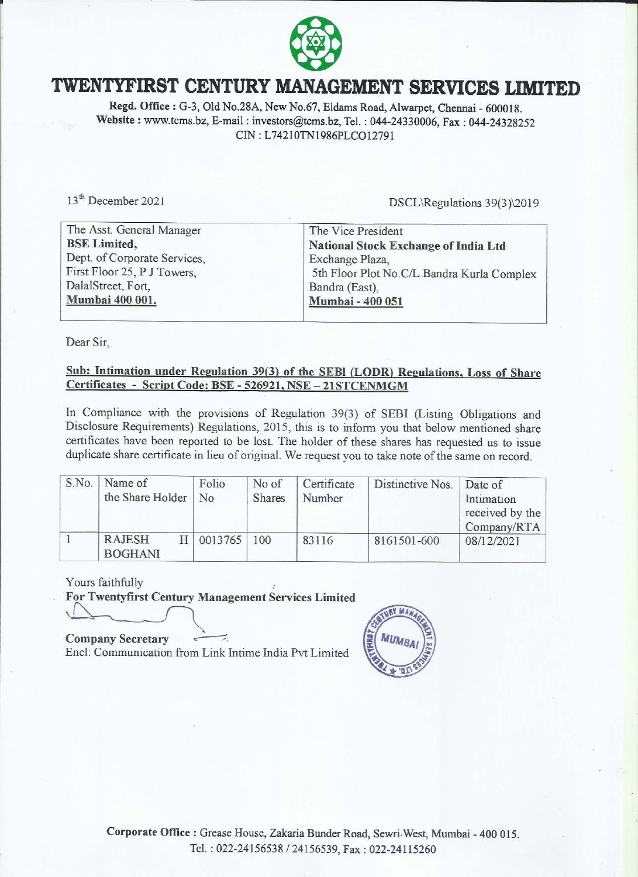

## **TWENTYFIRST CENTURY MANAGEMENT SERVICES LIMITED**

**Regd. Office:** G-3, Old No.28A, New No.67, Eldams Road, Alwarpet, Chennai- 600018. **Website** : www.tcms.bz, E-mail : investors@tcms.bz, Tel. : 044-24330006, Fax : 044-24328252 CIN: L74210TN1986PLCO12791

13<sup>th</sup> December 2021

DSCL\Regulations 39(3)\2019

| The Vice President                         |
|--------------------------------------------|
| National Stock Exchange of India Ltd       |
| Exchange Plaza,                            |
| 5th Floor Plot No.C/L Bandra Kurla Complex |
| Bandra (East),                             |
| Mumbai - 400 051                           |
|                                            |

Dear Sir,

#### **Sub: Intimation under Regulation 39(3) of the SEBI (LODR) Regulations, Loss of Share Certificates** - **Script Code: BSE** - **526921, NSE- 21STCENMGM**

In Compliance with the provisions of Regulation 39(3) of SEBI (Listing Obligations and Disclosure Requirements) Regulations, 2015, this is to inform you that below mentioned share certificates have been reported to be lost. The holder of these shares has requested us to issue duplicate share certificate in lieu of original. We request you to take note of the same on record.

| S.No. | Name of<br>the Share Holder     | Folio<br>N <sub>0</sub> | No of<br><b>Shares</b> | Certificate<br>Number | Distinctive Nos.   Date of | Intimation<br>received by the<br>Company/RTA |
|-------|---------------------------------|-------------------------|------------------------|-----------------------|----------------------------|----------------------------------------------|
|       | <b>RAJESH</b><br><b>BOGHANI</b> | 0013765                 | 100                    | 83116                 | 8161501-600                | 08/12/2021                                   |

Yours faithfully

**For Twentyfirst Century Management Services Limited** 

**Company Secretary** \_...-:;::, Encl: Communication from Link Intime India Pvt Limited

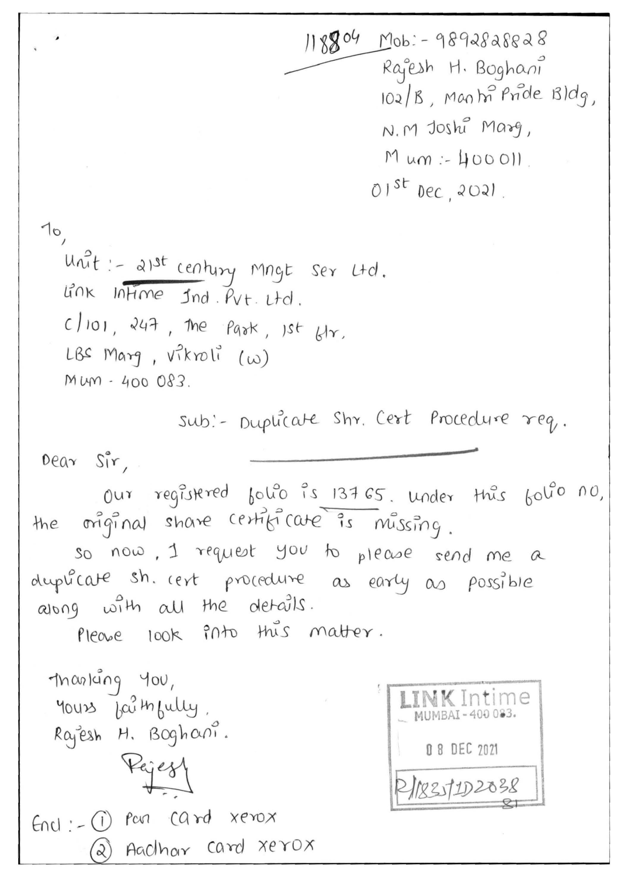$118804$  Mob: - 9892828828 Rajesh H. Boghani 102/B, Manti Pride Bldg, N.M Joshi Marg,  $Mum:400011$ .  $01^{st}$  Dec 2021. Unit :- anst century mngt ser Ltd. Link Intime Ind. Put. Ltd.

 $c/101$ ,  $247$ , the  $Pa$ <sup>\*</sup>,  $1st$   $k1r$ .

LBS Marg, vikroli (w)

MMM-400 083.

sub:- Duplicate Shr. Cert Procedure req.

 $0ear$   $S_1^{\circ}r$ ,

 $10,$ 

our registered folio is 137 GS. under this folio no, the original share certificate is mussing.

so now, I request you to please send me a duplicate sh. cert procedure as early as possible along with all the details.

Please look into this matter.

masking you, yours baimbully. Rajesh H. Boghani. Rejest  $End: -O$  par card xerox 2 Aacthor card xerox

| MUMBAI-400033. |                    |  |  |  |
|----------------|--------------------|--|--|--|
|                | <b>08 DEC 2021</b> |  |  |  |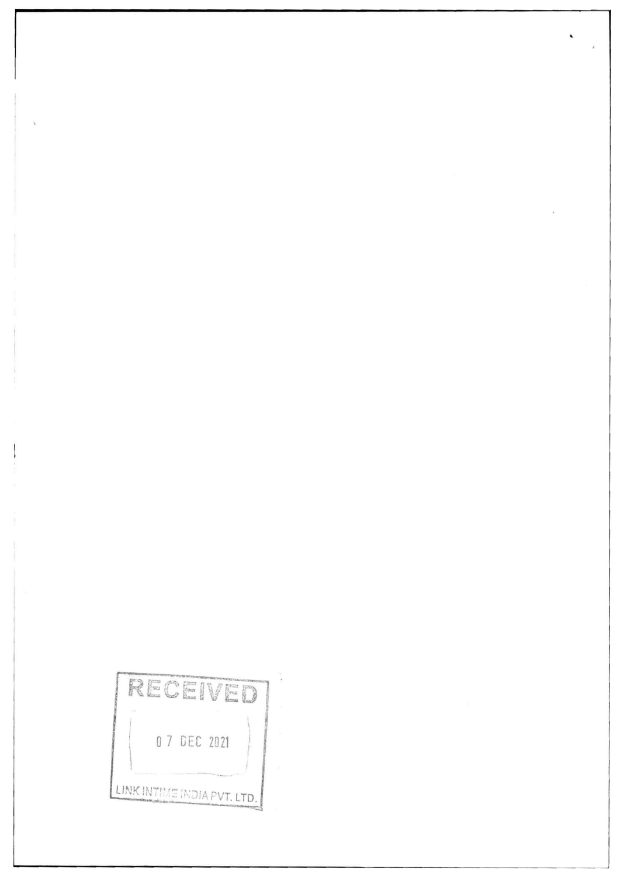RECEIVED 0 7 DEC 2021 LINK INTIME INDIA PVT. LTD.

 $\overline{\mathcal{C}}$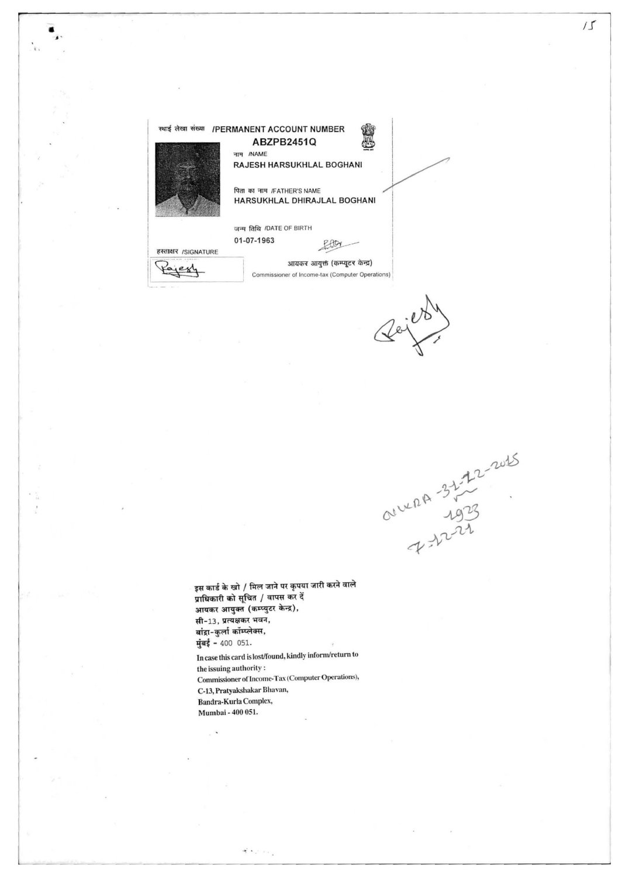

•

OULER 322222

 $\overline{1}$ 

इस कार्ड के खो / मिल जाने पर कृपया जारी करने वाले प्राधिकारी को सूचित / वापस कर दें आयकर आयुक्त (कम्प्युटर केन्द्र), सी-13, प्रत्यक्षकर भवन, बांद्रा-कुर्ला कॉम्प्लेक्स, मुंबई - 400 051.

In case this card is lost/found, kindly infomvretum to the issuing authority : Commissioner of Income-Tax (Computer Operations), C-13, Pratyakshakar Dhavan, Bandra-Kurla Complex, Mumbai - 400 OSI.

そうごうし